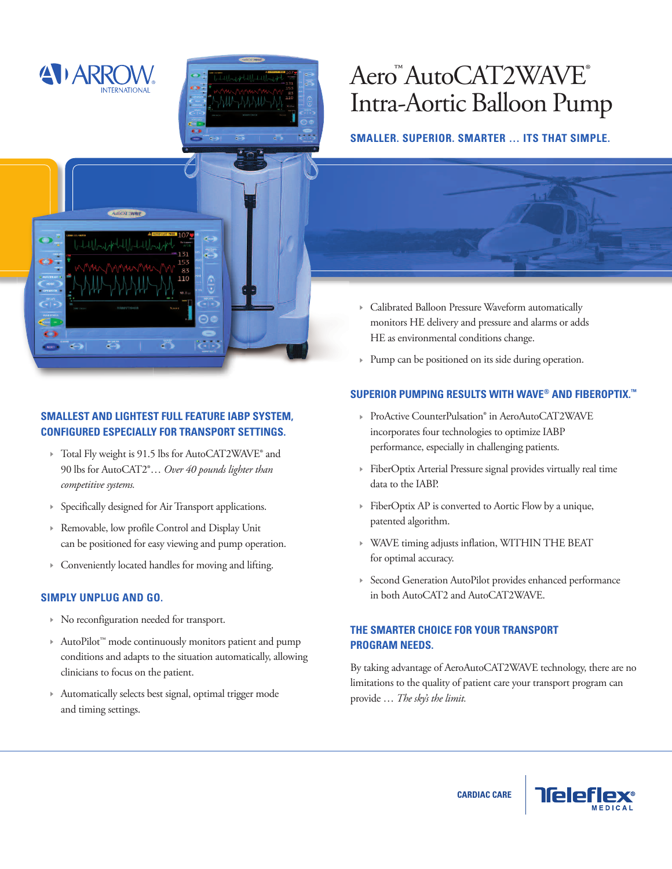

# Aero™AutoCAT2WAVE® Intra-Aortic Balloon Pump

## **SMALLER. SUPERIOR. SMARTER … ITS THAT SIMPLE.**



# **SMALLEST AND LIGHTEST FULL FEATURE IABP SYSTEM, CONFIGURED ESPECIALLY FOR TRANSPORT SETTINGS.**

- Total Fly weight is 91.5 lbs for AutoCAT2WAVE® and 90 lbs for AutoCAT2®… *Over 40 pounds lighter than competitive systems.*
- Specifically designed for Air Transport applications.
- Removable, low profile Control and Display Unit can be positioned for easy viewing and pump operation.
- Conveniently located handles for moving and lifting.

## **SIMPLY UNPLUG AND GO.**

- No reconfiguration needed for transport.
- AutoPilot™ mode continuously monitors patient and pump conditions and adapts to the situation automatically, allowing clinicians to focus on the patient.
- Automatically selects best signal, optimal trigger mode and timing settings.
- Calibrated Balloon Pressure Waveform automatically monitors HE delivery and pressure and alarms or adds HE as environmental conditions change.
- Pump can be positioned on its side during operation.

## **SUPERIOR PUMPING RESULTS WITH WAVE® AND FIBEROPTIX. ™**

- ▶ ProActive CounterPulsation® in AeroAutoCAT2WAVE incorporates four technologies to optimize IABP performance, especially in challenging patients.
- FiberOptix Arterial Pressure signal provides virtually real time data to the IABP.
- FiberOptix AP is converted to Aortic Flow by a unique, patented algorithm.
- WAVE timing adjusts inflation, WITHIN THE BEAT for optimal accuracy.
- Second Generation AutoPilot provides enhanced performance in both AutoCAT2 and AutoCAT2WAVE.

# **THE SMARTER CHOICE FOR YOUR TRANSPORT PROGRAM NEEDS.**

By taking advantage of AeroAutoCAT2WAVE technology, there are no limitations to the quality of patient care your transport program can provide … *The sky's the limit.*